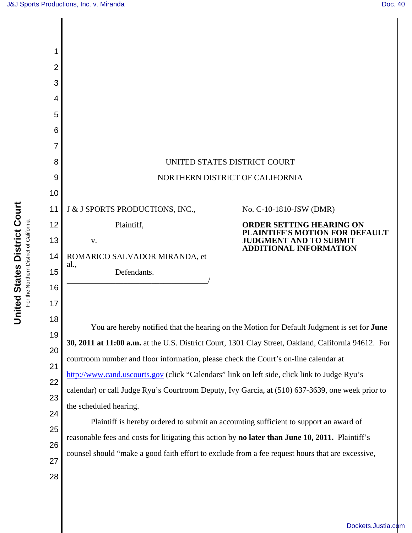

[Dockets.Justia.com](http://dockets.justia.com/)